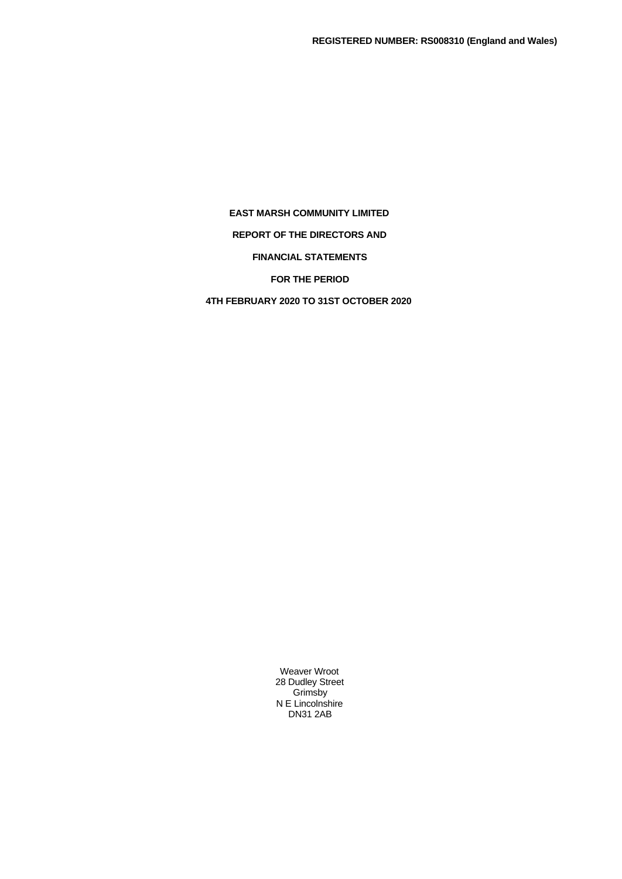**REPORT OF THE DIRECTORS AND**

**FINANCIAL STATEMENTS**

**FOR THE PERIOD**

**4TH FEBRUARY 2020 TO 31ST OCTOBER 2020**

Weaver Wroot 28 Dudley Street Grimsby N E Lincolnshire DN31 2AB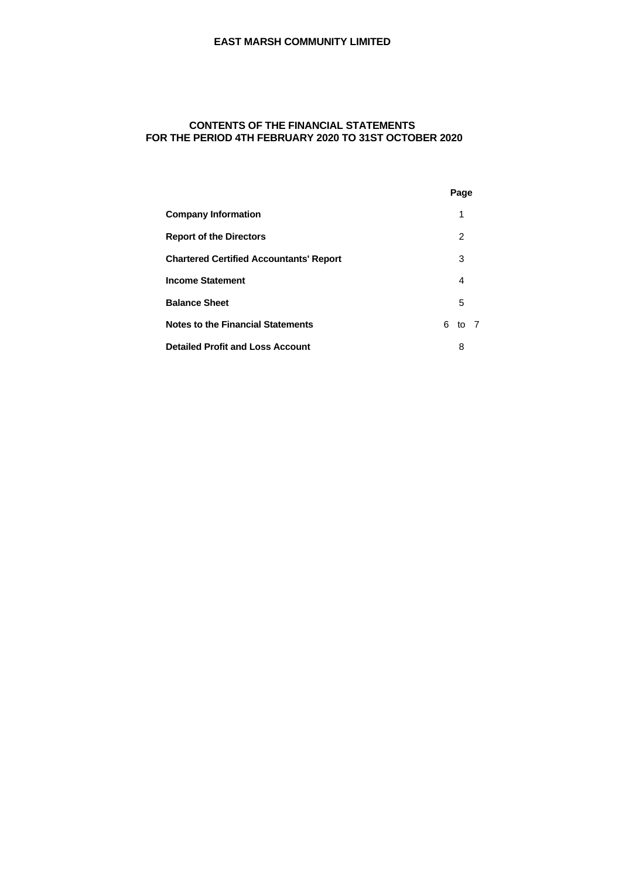# **CONTENTS OF THE FINANCIAL STATEMENTS FOR THE PERIOD 4TH FEBRUARY 2020 TO 31ST OCTOBER 2020**

|                                                | Page      |
|------------------------------------------------|-----------|
| <b>Company Information</b>                     | 1         |
| <b>Report of the Directors</b>                 | 2         |
| <b>Chartered Certified Accountants' Report</b> | 3         |
| <b>Income Statement</b>                        | 4         |
| <b>Balance Sheet</b>                           | 5         |
| <b>Notes to the Financial Statements</b>       | 6<br>to 7 |
| <b>Detailed Profit and Loss Account</b>        | 8         |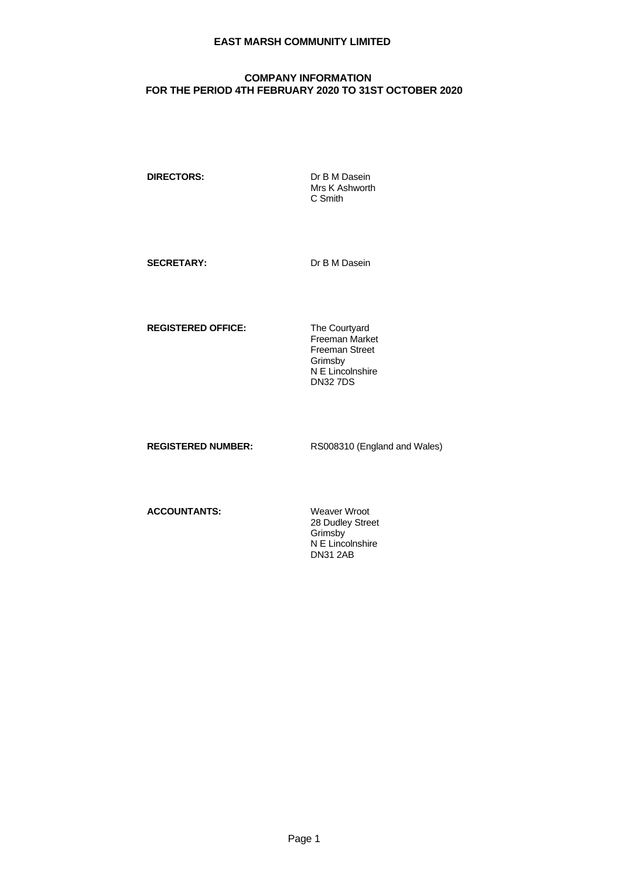## **COMPANY INFORMATION FOR THE PERIOD 4TH FEBRUARY 2020 TO 31ST OCTOBER 2020**

**DIRECTORS:** Dr B M Dasein

Mrs K Ashworth C Smith

SECRETARY: Dr B M Dasein

**REGISTERED OFFICE:** The Courtyard

Freeman Market Freeman Street Grimsby N E Lincolnshire DN32 7DS

**REGISTERED NUMBER:** RS008310 (England and Wales)

**ACCOUNTANTS:** Weaver Wroot

28 Dudley Street Grimsby N E Lincolnshire DN31 2AB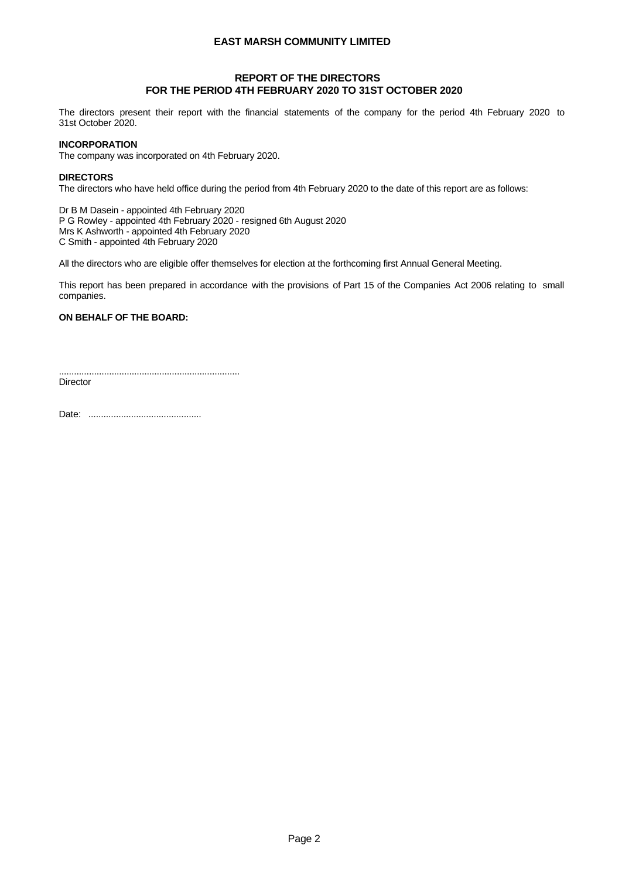# **REPORT OF THE DIRECTORS FOR THE PERIOD 4TH FEBRUARY 2020 TO 31ST OCTOBER 2020**

The directors present their report with the financial statements of the company for the period 4th February 2020 to 31st October 2020.

### **INCORPORATION**

The company was incorporated on 4th February 2020.

### **DIRECTORS**

The directors who have held office during the period from 4th February 2020 to the date of this report are as follows:

Dr B M Dasein - appointed 4th February 2020 P G Rowley - appointed 4th February 2020 - resigned 6th August 2020 Mrs K Ashworth - appointed 4th February 2020 C Smith - appointed 4th February 2020

All the directors who are eligible offer themselves for election at the forthcoming first Annual General Meeting.

This report has been prepared in accordance with the provisions of Part 15 of the Companies Act 2006 relating to small companies.

### **ON BEHALF OF THE BOARD:**

........................................................................ **Director** 

Date: .............................................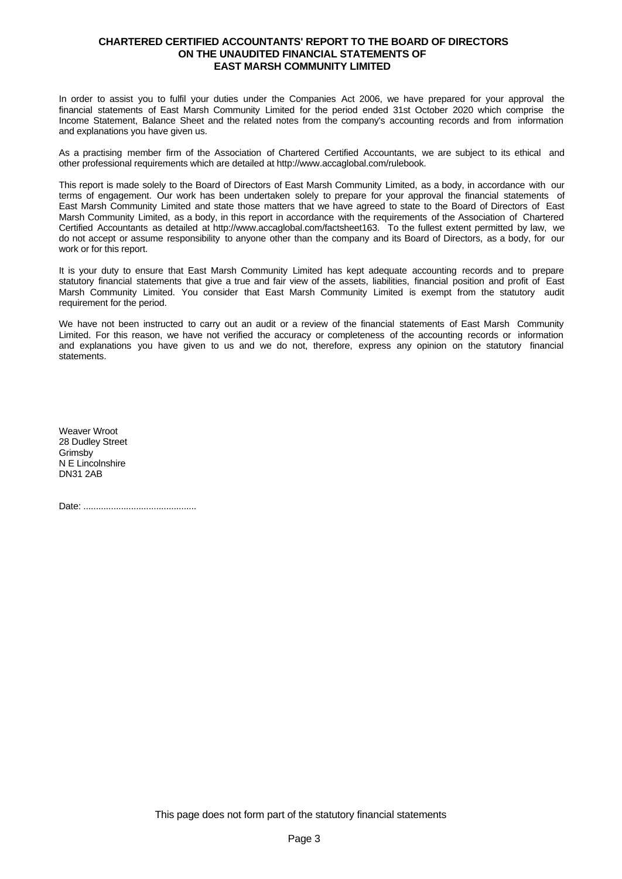### **CHARTERED CERTIFIED ACCOUNTANTS' REPORT TO THE BOARD OF DIRECTORS ON THE UNAUDITED FINANCIAL STATEMENTS OF EAST MARSH COMMUNITY LIMITED**

In order to assist you to fulfil your duties under the Companies Act 2006, we have prepared for your approval the financial statements of East Marsh Community Limited for the period ended 31st October 2020 which comprise the Income Statement, Balance Sheet and the related notes from the company's accounting records and from information and explanations you have given us.

As a practising member firm of the Association of Chartered Certified Accountants, we are subject to its ethical and other professional requirements which are detailed at http://www.accaglobal.com/rulebook.

This report is made solely to the Board of Directors of East Marsh Community Limited, as a body, in accordance with our terms of engagement. Our work has been undertaken solely to prepare for your approval the financial statements of East Marsh Community Limited and state those matters that we have agreed to state to the Board of Directors of East Marsh Community Limited, as a body, in this report in accordance with the requirements of the Association of Chartered Certified Accountants as detailed at http://www.accaglobal.com/factsheet163. To the fullest extent permitted by law, we do not accept or assume responsibility to anyone other than the company and its Board of Directors, as a body, for our work or for this report.

It is your duty to ensure that East Marsh Community Limited has kept adequate accounting records and to prepare statutory financial statements that give a true and fair view of the assets, liabilities, financial position and profit of East Marsh Community Limited. You consider that East Marsh Community Limited is exempt from the statutory audit requirement for the period.

We have not been instructed to carry out an audit or a review of the financial statements of East Marsh Community Limited. For this reason, we have not verified the accuracy or completeness of the accounting records or information and explanations you have given to us and we do not, therefore, express any opinion on the statutory financial statements.

Weaver Wroot 28 Dudley Street Grimsby N E Lincolnshire DN31 2AB

Date: .............................................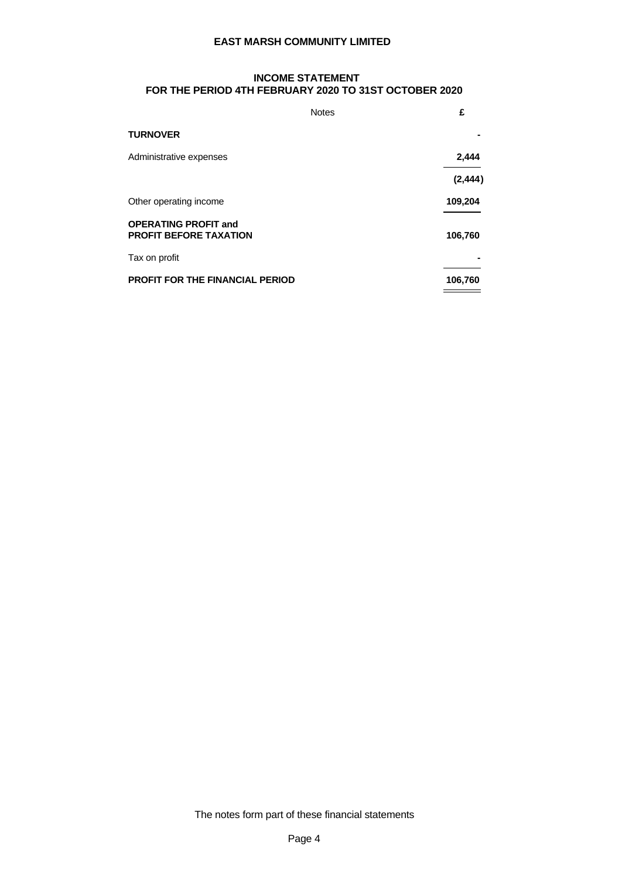# **INCOME STATEMENT FOR THE PERIOD 4TH FEBRUARY 2020 TO 31ST OCTOBER 2020**

|                                                              | <b>Notes</b> | £              |
|--------------------------------------------------------------|--------------|----------------|
| <b>TURNOVER</b>                                              |              | $\blacksquare$ |
| Administrative expenses                                      |              | 2,444          |
|                                                              |              | (2, 444)       |
| Other operating income                                       |              | 109,204        |
| <b>OPERATING PROFIT and</b><br><b>PROFIT BEFORE TAXATION</b> |              | 106,760        |
| Tax on profit                                                |              | $\blacksquare$ |
| <b>PROFIT FOR THE FINANCIAL PERIOD</b>                       |              | 106,760        |

The notes form part of these financial statements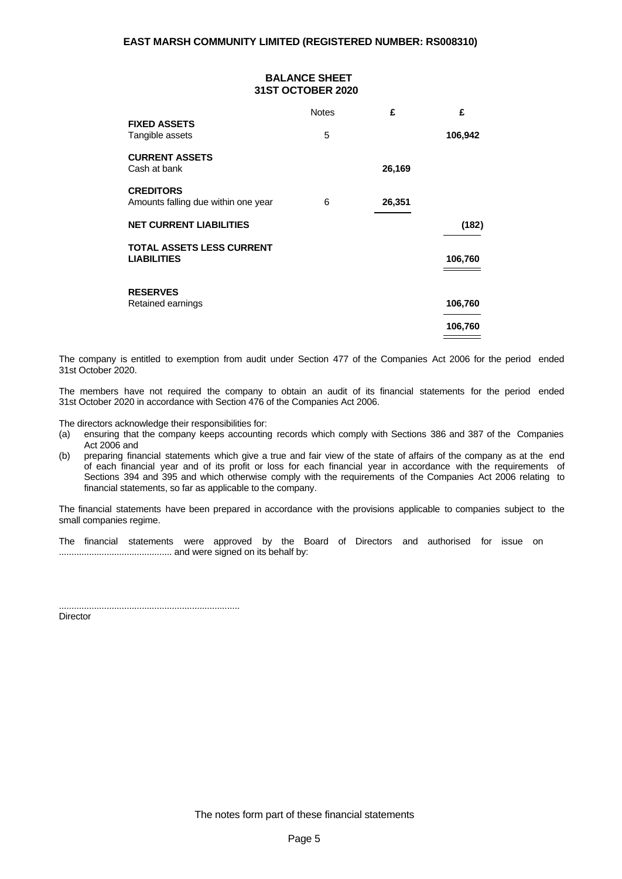### **BALANCE SHEET 31ST OCTOBER 2020**

|                                                         | <b>Notes</b> | £      | £       |  |
|---------------------------------------------------------|--------------|--------|---------|--|
| <b>FIXED ASSETS</b><br>Tangible assets                  | 5            |        | 106,942 |  |
| <b>CURRENT ASSETS</b><br>Cash at bank                   |              | 26,169 |         |  |
| <b>CREDITORS</b><br>Amounts falling due within one year | 6            | 26,351 |         |  |
| <b>NET CURRENT LIABILITIES</b>                          |              |        | (182)   |  |
| TOTAL ASSETS LESS CURRENT<br><b>LIABILITIES</b>         |              |        | 106,760 |  |
| <b>RESERVES</b><br>Retained earnings                    |              |        | 106,760 |  |
|                                                         |              |        | 106,760 |  |

The company is entitled to exemption from audit under Section 477 of the Companies Act 2006 for the period ended 31st October 2020.

The members have not required the company to obtain an audit of its financial statements for the period ended 31st October 2020 in accordance with Section 476 of the Companies Act 2006.

The directors acknowledge their responsibilities for:

........................................................................

- (a) ensuring that the company keeps accounting records which comply with Sections 386 and 387 of the Companies Act 2006 and
- (b) preparing financial statements which give a true and fair view of the state of affairs of the company as at the end of each financial year and of its profit or loss for each financial year in accordance with the requirements of Sections 394 and 395 and which otherwise comply with the requirements of the Companies Act 2006 relating to financial statements, so far as applicable to the company.

The financial statements have been prepared in accordance with the provisions applicable to companies subject to the small companies regime.

The financial statements were approved by the Board of Directors and authorised for issue on ............................................. and were signed on its behalf by:

**Director**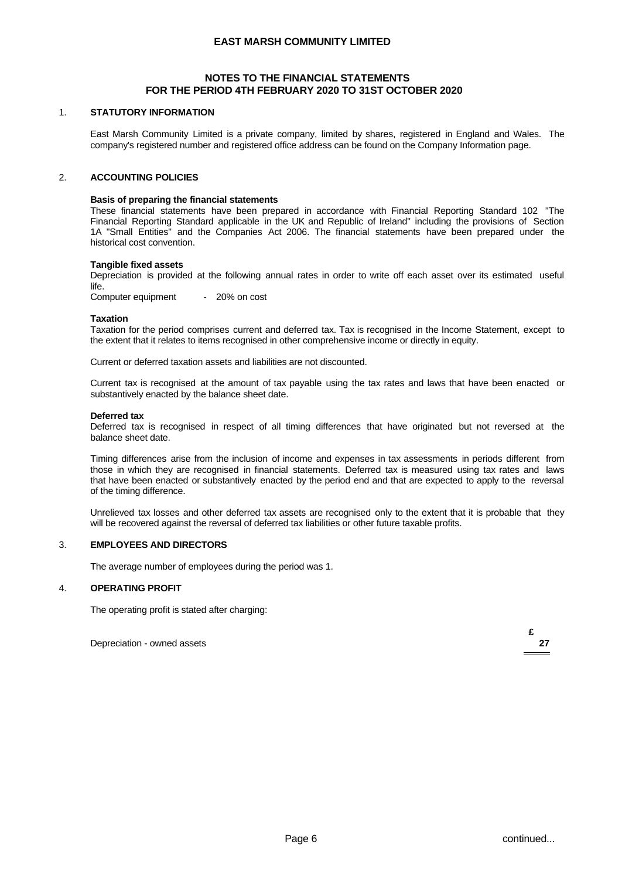## **NOTES TO THE FINANCIAL STATEMENTS FOR THE PERIOD 4TH FEBRUARY 2020 TO 31ST OCTOBER 2020**

### 1. **STATUTORY INFORMATION**

East Marsh Community Limited is a private company, limited by shares, registered in England and Wales. The company's registered number and registered office address can be found on the Company Information page.

## 2. **ACCOUNTING POLICIES**

### **Basis of preparing the financial statements**

These financial statements have been prepared in accordance with Financial Reporting Standard 102 "The Financial Reporting Standard applicable in the UK and Republic of Ireland" including the provisions of Section 1A "Small Entities" and the Companies Act 2006. The financial statements have been prepared under the historical cost convention.

#### **Tangible fixed assets**

Depreciation is provided at the following annual rates in order to write off each asset over its estimated useful life.

Computer equipment - 20% on cost

#### **Taxation**

Taxation for the period comprises current and deferred tax. Tax is recognised in the Income Statement, except to the extent that it relates to items recognised in other comprehensive income or directly in equity.

Current or deferred taxation assets and liabilities are not discounted.

Current tax is recognised at the amount of tax payable using the tax rates and laws that have been enacted or substantively enacted by the balance sheet date.

#### **Deferred tax**

Deferred tax is recognised in respect of all timing differences that have originated but not reversed at the balance sheet date.

Timing differences arise from the inclusion of income and expenses in tax assessments in periods different from those in which they are recognised in financial statements. Deferred tax is measured using tax rates and laws that have been enacted or substantively enacted by the period end and that are expected to apply to the reversal of the timing difference.

Unrelieved tax losses and other deferred tax assets are recognised only to the extent that it is probable that they will be recovered against the reversal of deferred tax liabilities or other future taxable profits.

### 3. **EMPLOYEES AND DIRECTORS**

The average number of employees during the period was 1.

### 4. **OPERATING PROFIT**

The operating profit is stated after charging:

Depreciation - owned assets **27**

**£**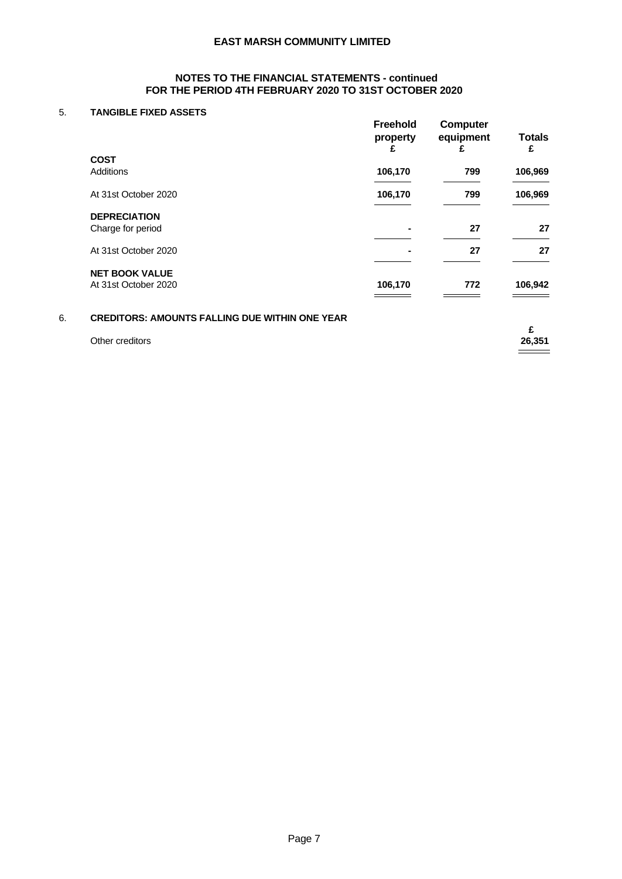## **NOTES TO THE FINANCIAL STATEMENTS - continued FOR THE PERIOD 4TH FEBRUARY 2020 TO 31ST OCTOBER 2020**

# 5. **TANGIBLE FIXED ASSETS**

|                                               | Freehold<br>property<br>Ł. | Computer<br>equipment | <b>Totals</b><br>£ |
|-----------------------------------------------|----------------------------|-----------------------|--------------------|
| <b>COST</b><br>Additions                      | 106,170                    | 799                   | 106,969            |
| At 31st October 2020                          | 106,170                    | 799                   | 106,969            |
| <b>DEPRECIATION</b><br>Charge for period      | ۰                          | 27                    | 27                 |
| At 31st October 2020                          | ۰                          | 27                    | 27                 |
| <b>NET BOOK VALUE</b><br>At 31st October 2020 | 106,170                    | 772                   | 106,942            |

# 6. **CREDITORS: AMOUNTS FALLING DUE WITHIN ONE YEAR**

|                 | $\sim$                                                                                                                 |
|-----------------|------------------------------------------------------------------------------------------------------------------------|
| Other creditors | 26,351                                                                                                                 |
|                 | <u> London a componente de la componente de la componente de la componente de la componente de la componente de la</u> |